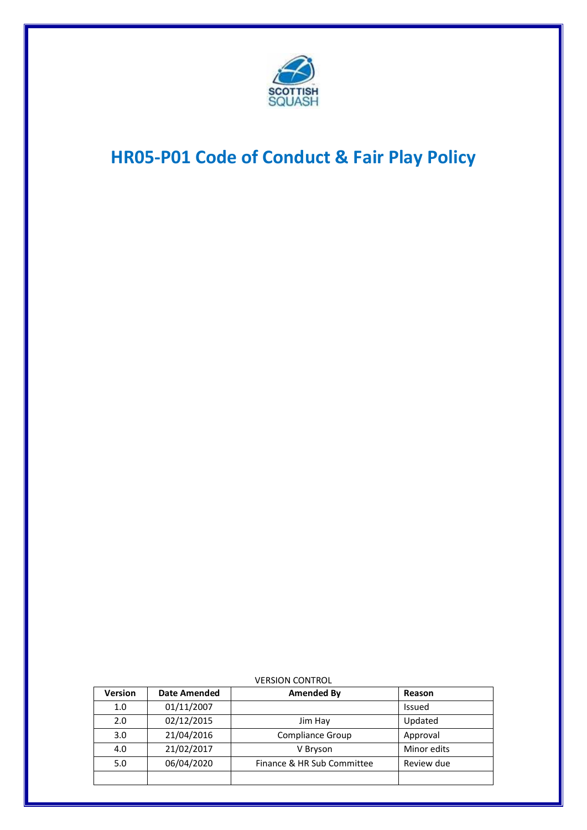

# **HR05-P01 Code of Conduct & Fair Play Policy**

| <b>Version</b> | <b>Date Amended</b> | <b>Amended By</b>          | Reason      |
|----------------|---------------------|----------------------------|-------------|
| 1.0            | 01/11/2007          |                            | Issued      |
| 2.0            | 02/12/2015          | Jim Hay                    | Updated     |
| 3.0            | 21/04/2016          | Compliance Group           | Approval    |
| 4.0            | 21/02/2017          | V Bryson                   | Minor edits |
| 5.0            | 06/04/2020          | Finance & HR Sub Committee | Review due  |
|                |                     |                            |             |

VERSION CONTROL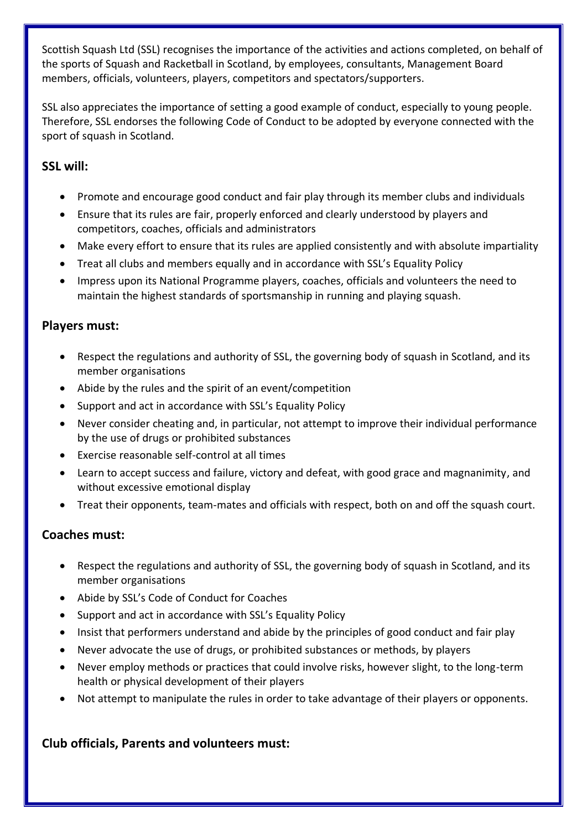Scottish Squash Ltd (SSL) recognises the importance of the activities and actions completed, on behalf of the sports of Squash and Racketball in Scotland, by employees, consultants, Management Board members, officials, volunteers, players, competitors and spectators/supporters.

SSL also appreciates the importance of setting a good example of conduct, especially to young people. Therefore, SSL endorses the following Code of Conduct to be adopted by everyone connected with the sport of squash in Scotland.

## **SSL will:**

- Promote and encourage good conduct and fair play through its member clubs and individuals
- Ensure that its rules are fair, properly enforced and clearly understood by players and competitors, coaches, officials and administrators
- Make every effort to ensure that its rules are applied consistently and with absolute impartiality
- Treat all clubs and members equally and in accordance with SSL's Equality Policy
- Impress upon its National Programme players, coaches, officials and volunteers the need to maintain the highest standards of sportsmanship in running and playing squash.

#### **Players must:**

- Respect the regulations and authority of SSL, the governing body of squash in Scotland, and its member organisations
- Abide by the rules and the spirit of an event/competition
- Support and act in accordance with SSL's Equality Policy
- Never consider cheating and, in particular, not attempt to improve their individual performance by the use of drugs or prohibited substances
- Exercise reasonable self-control at all times
- Learn to accept success and failure, victory and defeat, with good grace and magnanimity, and without excessive emotional display
- Treat their opponents, team-mates and officials with respect, both on and off the squash court.

## **Coaches must:**

- Respect the regulations and authority of SSL, the governing body of squash in Scotland, and its member organisations
- Abide by SSL's Code of Conduct for Coaches
- Support and act in accordance with SSL's Equality Policy
- Insist that performers understand and abide by the principles of good conduct and fair play
- Never advocate the use of drugs, or prohibited substances or methods, by players
- Never employ methods or practices that could involve risks, however slight, to the long-term health or physical development of their players
- Not attempt to manipulate the rules in order to take advantage of their players or opponents.

## **Club officials, Parents and volunteers must:**